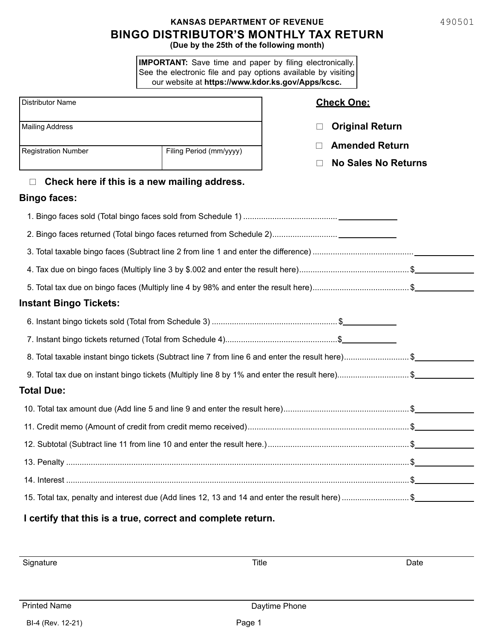# **BINGO DISTRIBUTOR'S MONTHLY TAX RETURN KANSAS DEPARTMENT OF REVENUE**

**(Due by the 25th of the following month)**

**IMPORTANT:** Save time and paper by filing electronically. See the electronic file and pay options available by visiting our website at **https://www.kdor.ks.gov/Apps/kcsc.**

| <b>Distributor Name</b>       |                                                             | <b>Check One:</b>                                                                                |  |  |  |
|-------------------------------|-------------------------------------------------------------|--------------------------------------------------------------------------------------------------|--|--|--|
| <b>Mailing Address</b>        |                                                             | <b>Original Return</b>                                                                           |  |  |  |
| <b>Registration Number</b>    | Filing Period (mm/yyyy)                                     | <b>Amended Return</b>                                                                            |  |  |  |
|                               | <b>No Sales No Returns</b>                                  |                                                                                                  |  |  |  |
| П                             | Check here if this is a new mailing address.                |                                                                                                  |  |  |  |
| <b>Bingo faces:</b>           |                                                             |                                                                                                  |  |  |  |
|                               |                                                             |                                                                                                  |  |  |  |
|                               |                                                             |                                                                                                  |  |  |  |
|                               |                                                             |                                                                                                  |  |  |  |
|                               |                                                             |                                                                                                  |  |  |  |
|                               |                                                             |                                                                                                  |  |  |  |
| <b>Instant Bingo Tickets:</b> |                                                             |                                                                                                  |  |  |  |
|                               |                                                             |                                                                                                  |  |  |  |
|                               |                                                             |                                                                                                  |  |  |  |
|                               |                                                             | 8. Total taxable instant bingo tickets (Subtract line 7 from line 6 and enter the result here)\$ |  |  |  |
|                               |                                                             | 9. Total tax due on instant bingo tickets (Multiply line 8 by 1% and enter the result here)\$    |  |  |  |
| <b>Total Due:</b>             |                                                             |                                                                                                  |  |  |  |
|                               |                                                             |                                                                                                  |  |  |  |
|                               |                                                             |                                                                                                  |  |  |  |
|                               |                                                             |                                                                                                  |  |  |  |
|                               |                                                             |                                                                                                  |  |  |  |
|                               |                                                             |                                                                                                  |  |  |  |
|                               |                                                             | 15. Total tax, penalty and interest due (Add lines 12, 13 and 14 and enter the result here)\$    |  |  |  |
|                               | I certify that this is a true, correct and complete return. |                                                                                                  |  |  |  |

Signature Title Date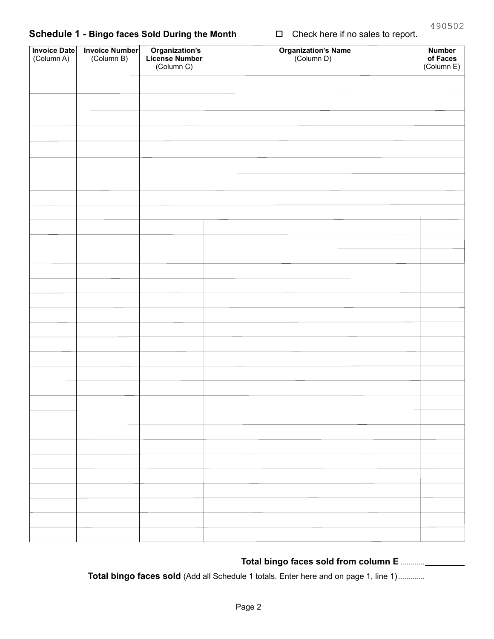## **Schedule 1 - Bingo faces Sold During the Month** □ Check here if no sales to report.

| Total bingo faces sold from column E |  |
|--------------------------------------|--|
|--------------------------------------|--|

**Total bingo faces sold** (Add all Schedule 1 totals. Enter here and on page 1, line 1).............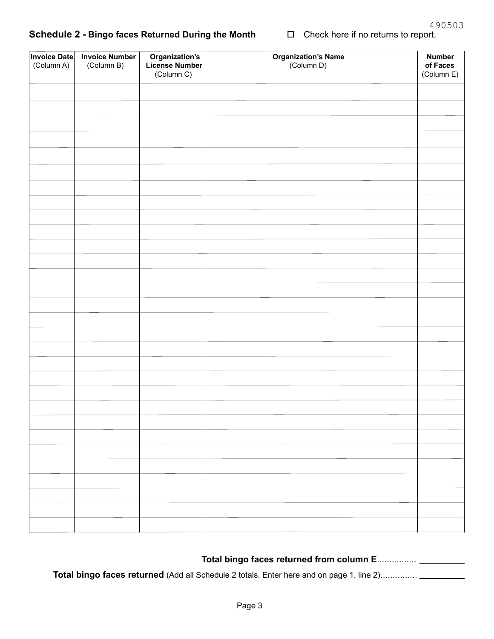# **Schedule 2 - Bingo faces Returned During the Month** □ Check here if no returns to report.

| Invoice Date<br>(Column A) | <b>Invoice Number</b><br>(Column B) | <b>Organization's</b><br>License Number<br>(Column C) | <b>Organization's Name</b><br>(Column D) | <b>Number</b><br>of Faces<br>(Column E) |
|----------------------------|-------------------------------------|-------------------------------------------------------|------------------------------------------|-----------------------------------------|
|                            |                                     |                                                       |                                          |                                         |
|                            |                                     |                                                       |                                          |                                         |
|                            |                                     |                                                       |                                          |                                         |
|                            |                                     |                                                       |                                          |                                         |
|                            |                                     |                                                       |                                          |                                         |
|                            |                                     |                                                       |                                          |                                         |
|                            |                                     |                                                       |                                          |                                         |
|                            |                                     |                                                       |                                          |                                         |
|                            |                                     |                                                       |                                          |                                         |
|                            |                                     |                                                       |                                          |                                         |
|                            |                                     |                                                       |                                          |                                         |
|                            |                                     |                                                       |                                          |                                         |
|                            |                                     |                                                       |                                          |                                         |
|                            |                                     |                                                       |                                          |                                         |
|                            |                                     |                                                       |                                          |                                         |
|                            |                                     |                                                       |                                          |                                         |
|                            |                                     |                                                       |                                          |                                         |
|                            |                                     |                                                       |                                          |                                         |
|                            |                                     |                                                       |                                          |                                         |
|                            |                                     |                                                       |                                          |                                         |
|                            |                                     |                                                       |                                          |                                         |
|                            |                                     |                                                       |                                          |                                         |
|                            |                                     |                                                       |                                          |                                         |
|                            |                                     |                                                       |                                          |                                         |
|                            |                                     |                                                       |                                          |                                         |
|                            |                                     |                                                       |                                          |                                         |
|                            |                                     |                                                       |                                          |                                         |
|                            |                                     |                                                       |                                          |                                         |
|                            |                                     |                                                       |                                          |                                         |
|                            |                                     |                                                       |                                          |                                         |

| Total bingo faces returned from column E |  |
|------------------------------------------|--|
|                                          |  |

**Total bingo faces returned** (Add all Schedule 2 totals. Enter here and on page 1, line 2)...............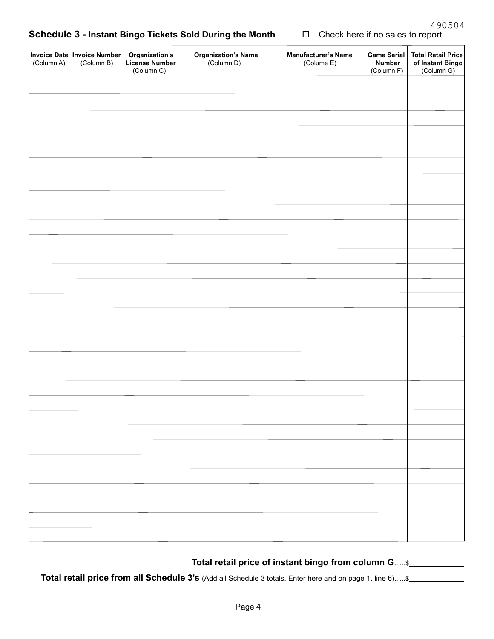## **Schedule 3 - Instant Bingo Tickets Sold During the Month** □ Check here if no sales to report.

| (Column A) | Invoice Date Invoice Number<br>(Column B) | <b>Organization's</b><br>License Number<br>(Column C) | <b>Organization's Name</b><br>(Column D) | <b>Manufacturer's Name</b><br>(Colume E) | Game Serial<br><b>Number</b><br>(Column F) | <b>Total Retail Price</b><br>of Instant Bingo<br>(Column G) |
|------------|-------------------------------------------|-------------------------------------------------------|------------------------------------------|------------------------------------------|--------------------------------------------|-------------------------------------------------------------|
|            |                                           |                                                       |                                          |                                          |                                            |                                                             |
|            |                                           |                                                       |                                          |                                          |                                            |                                                             |
|            |                                           |                                                       |                                          |                                          |                                            |                                                             |
|            |                                           |                                                       |                                          |                                          |                                            |                                                             |
|            |                                           |                                                       |                                          |                                          |                                            |                                                             |
|            |                                           |                                                       |                                          |                                          |                                            |                                                             |
|            |                                           |                                                       |                                          |                                          |                                            |                                                             |
|            |                                           |                                                       |                                          |                                          |                                            |                                                             |
|            |                                           |                                                       |                                          |                                          |                                            |                                                             |
|            |                                           |                                                       |                                          |                                          |                                            |                                                             |
|            |                                           |                                                       |                                          |                                          |                                            |                                                             |
|            |                                           |                                                       |                                          |                                          |                                            |                                                             |
|            |                                           |                                                       |                                          |                                          |                                            |                                                             |
|            |                                           |                                                       |                                          |                                          |                                            |                                                             |
|            |                                           |                                                       |                                          |                                          |                                            |                                                             |
|            |                                           |                                                       |                                          |                                          |                                            |                                                             |
|            |                                           |                                                       |                                          |                                          |                                            |                                                             |
|            |                                           |                                                       |                                          |                                          |                                            |                                                             |
|            |                                           |                                                       |                                          |                                          |                                            |                                                             |
|            |                                           |                                                       |                                          |                                          |                                            |                                                             |
|            |                                           |                                                       |                                          |                                          |                                            |                                                             |
|            |                                           |                                                       |                                          |                                          |                                            |                                                             |
|            |                                           |                                                       |                                          |                                          |                                            |                                                             |
|            |                                           |                                                       |                                          |                                          |                                            |                                                             |
|            |                                           |                                                       |                                          |                                          |                                            |                                                             |
|            |                                           |                                                       |                                          |                                          |                                            |                                                             |
|            |                                           |                                                       |                                          |                                          |                                            |                                                             |
|            |                                           |                                                       |                                          |                                          |                                            |                                                             |
|            |                                           |                                                       |                                          |                                          |                                            |                                                             |
|            |                                           |                                                       |                                          |                                          |                                            |                                                             |
|            |                                           |                                                       |                                          |                                          |                                            |                                                             |
|            |                                           |                                                       |                                          |                                          |                                            |                                                             |
|            |                                           |                                                       |                                          |                                          |                                            |                                                             |

### **Total retail price of instant bingo from column G**......\$

**Total retail price from all Schedule 3's** (Add all Schedule 3 totals. Enter here and on page 1, line 6)......\$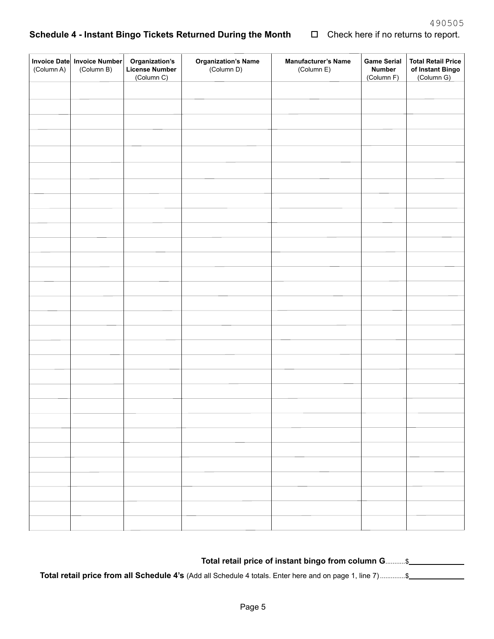#### $\Box$ **Schedule 4 - Instant Bingo Tickets Returned During the Month**

| Check here if no returns to report. |  |  |
|-------------------------------------|--|--|
|-------------------------------------|--|--|

| (Column A) | Invoice Date Invoice Number<br>(Column B) | Organization's<br><b>License Number</b><br>(Column C) | <b>Organization's Name</b><br>(Column D) | <b>Manufacturer's Name</b><br>(Column E) | <b>Game Serial</b><br><b>Number</b><br>(Column F) | <b>Total Retail Price</b><br>of Instant Bingo<br>(Column G) |
|------------|-------------------------------------------|-------------------------------------------------------|------------------------------------------|------------------------------------------|---------------------------------------------------|-------------------------------------------------------------|
|            |                                           |                                                       |                                          |                                          |                                                   |                                                             |
|            |                                           |                                                       |                                          |                                          |                                                   |                                                             |
|            |                                           |                                                       |                                          |                                          |                                                   |                                                             |
|            |                                           |                                                       |                                          |                                          |                                                   |                                                             |
|            |                                           |                                                       |                                          |                                          |                                                   |                                                             |
|            |                                           |                                                       |                                          |                                          |                                                   |                                                             |
|            |                                           |                                                       |                                          |                                          |                                                   |                                                             |
|            |                                           |                                                       |                                          |                                          |                                                   |                                                             |
|            |                                           |                                                       |                                          |                                          |                                                   |                                                             |
|            |                                           |                                                       |                                          |                                          |                                                   |                                                             |
|            |                                           |                                                       |                                          |                                          |                                                   |                                                             |
|            |                                           |                                                       |                                          |                                          |                                                   |                                                             |
|            |                                           |                                                       |                                          |                                          |                                                   |                                                             |
|            |                                           |                                                       |                                          |                                          |                                                   |                                                             |
|            |                                           |                                                       |                                          |                                          |                                                   |                                                             |
|            |                                           |                                                       |                                          |                                          |                                                   |                                                             |
|            |                                           |                                                       |                                          |                                          |                                                   |                                                             |
|            |                                           |                                                       |                                          |                                          |                                                   |                                                             |
|            |                                           |                                                       |                                          |                                          |                                                   |                                                             |
|            |                                           |                                                       |                                          |                                          |                                                   |                                                             |
|            |                                           |                                                       |                                          |                                          |                                                   |                                                             |
|            |                                           |                                                       |                                          |                                          |                                                   |                                                             |
|            |                                           |                                                       |                                          |                                          |                                                   |                                                             |
|            |                                           |                                                       |                                          |                                          |                                                   |                                                             |
|            |                                           |                                                       |                                          |                                          |                                                   |                                                             |
|            |                                           |                                                       |                                          |                                          |                                                   |                                                             |
|            |                                           |                                                       |                                          |                                          |                                                   |                                                             |
|            |                                           |                                                       |                                          |                                          |                                                   |                                                             |
|            |                                           |                                                       |                                          |                                          |                                                   |                                                             |
|            |                                           |                                                       |                                          |                                          |                                                   |                                                             |
|            |                                           |                                                       |                                          |                                          |                                                   |                                                             |

| Total retail price of instant bingo from column G\$ |  |
|-----------------------------------------------------|--|
|                                                     |  |

**Total retail price from all Schedule 4's** (Add all Schedule 4 totals. Enter here and on page 1, line 7).............\$